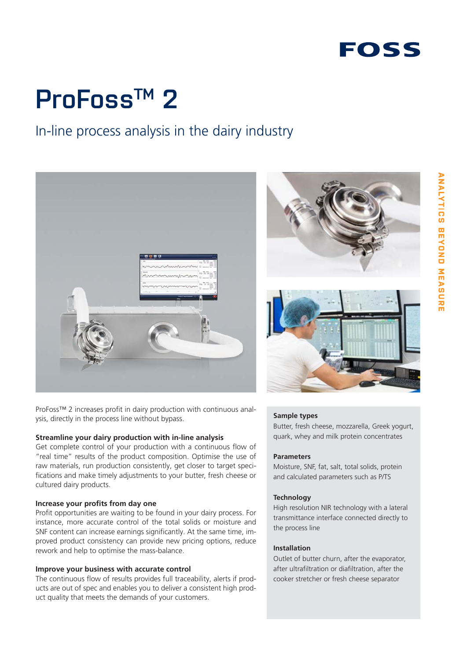# **ProFossTM 2**

### In-line process analysis in the dairy industry



ProFoss™ 2 increases profit in dairy production with continuous analysis, directly in the process line without bypass.

#### **Streamline your dairy production with in-line analysis**

Get complete control of your production with a continuous flow of "real time" results of the product composition. Optimise the use of raw materials, run production consistently, get closer to target specifications and make timely adjustments to your butter, fresh cheese or cultured dairy products.

#### **Increase your profits from day one**

Profit opportunities are waiting to be found in your dairy process. For instance, more accurate control of the total solids or moisture and SNF content can increase earnings significantly. At the same time, improved product consistency can provide new pricing options, reduce rework and help to optimise the mass-balance.

#### **Improve your business with accurate control**

The continuous flow of results provides full traceability, alerts if products are out of spec and enables you to deliver a consistent high product quality that meets the demands of your customers.



#### **Sample types**

Butter, fresh cheese, mozzarella, Greek yogurt, quark, whey and milk protein concentrates

#### **Parameters**

Moisture, SNF, fat, salt, total solids, protein and calculated parameters such as P/TS

#### **Technology**

High resolution NIR technology with a lateral transmittance interface connected directly to the process line

#### **Installation**

Outlet of butter churn, after the evaporator, after ultrafiltration or diafiltration, after the cooker stretcher or fresh cheese separator